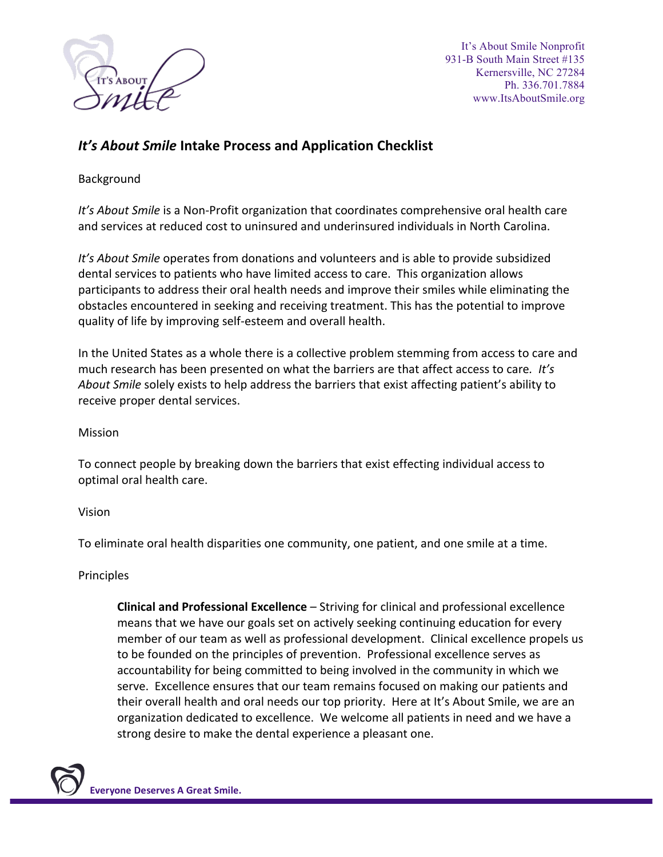

It's About Smile Nonprofit 931-B South Main Street #135 Kernersville, NC 27284 Ph. 336.701.7884 www.ItsAboutSmile.org

## *It's* **About Smile Intake Process and Application Checklist**

## Background

*It's* About *Smile* is a Non-Profit organization that coordinates comprehensive oral health care and services at reduced cost to uninsured and underinsured individuals in North Carolina.

*It's* About Smile operates from donations and volunteers and is able to provide subsidized dental services to patients who have limited access to care. This organization allows participants to address their oral health needs and improve their smiles while eliminating the obstacles encountered in seeking and receiving treatment. This has the potential to improve quality of life by improving self-esteem and overall health.

In the United States as a whole there is a collective problem stemming from access to care and much research has been presented on what the barriers are that affect access to care. It's *About Smile* solely exists to help address the barriers that exist affecting patient's ability to receive proper dental services.

Mission

To connect people by breaking down the barriers that exist effecting individual access to optimal oral health care.

Vision

To eliminate oral health disparities one community, one patient, and one smile at a time.

## Principles

**Clinical and Professional Excellence** – Striving for clinical and professional excellence means that we have our goals set on actively seeking continuing education for every member of our team as well as professional development. Clinical excellence propels us to be founded on the principles of prevention. Professional excellence serves as accountability for being committed to being involved in the community in which we serve. Excellence ensures that our team remains focused on making our patients and their overall health and oral needs our top priority. Here at It's About Smile, we are an organization dedicated to excellence. We welcome all patients in need and we have a strong desire to make the dental experience a pleasant one.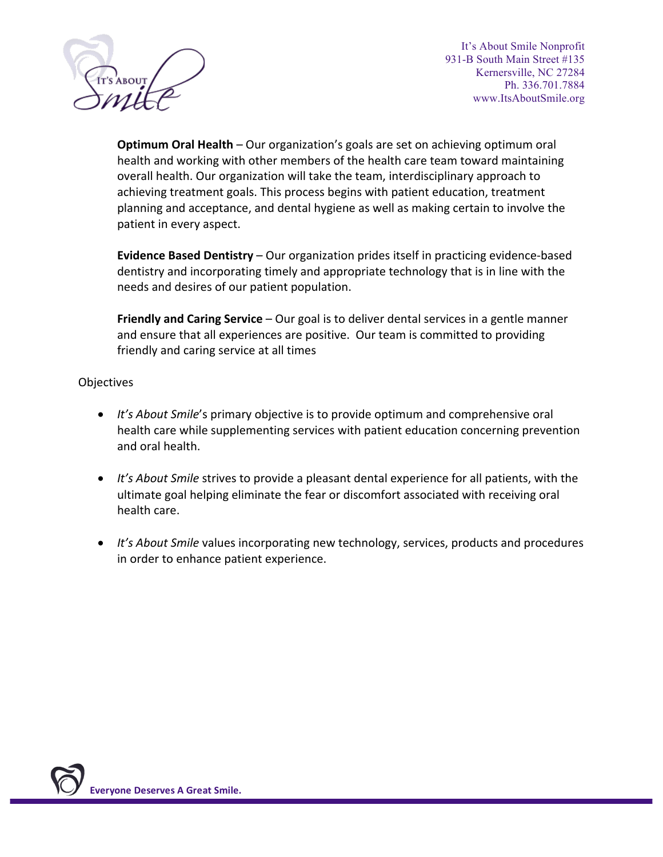

It's About Smile Nonprofit 931-B South Main Street #135 Kernersville, NC 27284 Ph. 336.701.7884 www.ItsAboutSmile.org

**Optimum Oral Health** – Our organization's goals are set on achieving optimum oral health and working with other members of the health care team toward maintaining overall health. Our organization will take the team, interdisciplinary approach to achieving treatment goals. This process begins with patient education, treatment planning and acceptance, and dental hygiene as well as making certain to involve the patient in every aspect.

**Evidence Based Dentistry** – Our organization prides itself in practicing evidence-based dentistry and incorporating timely and appropriate technology that is in line with the needs and desires of our patient population.

**Friendly and Caring Service** – Our goal is to deliver dental services in a gentle manner and ensure that all experiences are positive. Our team is committed to providing friendly and caring service at all times

**Objectives** 

- It's About Smile's primary objective is to provide optimum and comprehensive oral health care while supplementing services with patient education concerning prevention and oral health.
- It's About Smile strives to provide a pleasant dental experience for all patients, with the ultimate goal helping eliminate the fear or discomfort associated with receiving oral health care.
- It's About Smile values incorporating new technology, services, products and procedures in order to enhance patient experience.